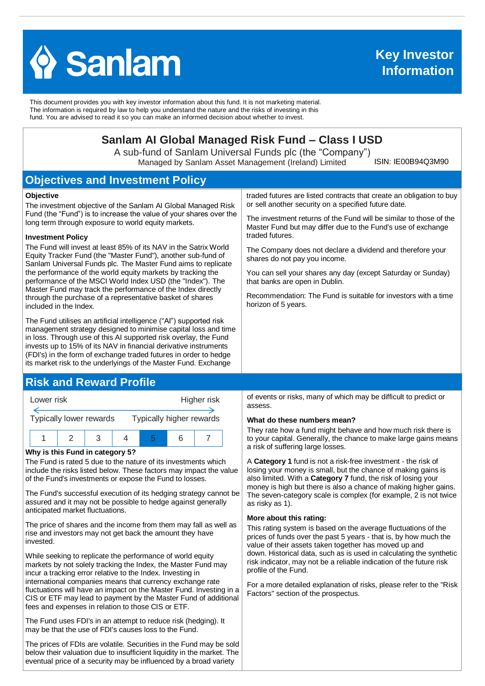

 **Information Key Investor** 

This document provides you with key investor information about this fund. It is not marketing material. The information is required by law to help you understand the nature and the risks of investing in this fund. You are advised to read it so you can make an informed decision about whether to invest.

# **Sanlam AI Global Managed Risk Fund – Class I USD**

A sub-fund of Sanlam Universal Funds plc (the "Company") Managed by Sanlam Asset Management (Ireland) Limited

ISIN: IE00B94Q3M90

# **Objectives and Investment Policy**

#### **Objective**

The investment objective of the Sanlam AI Global Managed Risk Fund (the "Fund") is to increase the value of your shares over the long term through exposure to world equity markets.

#### **Investment Policy**

The Fund will invest at least 85% of its NAV in the Satrix World Equity Tracker Fund (the "Master Fund"), another sub-fund of Sanlam Universal Funds plc. The Master Fund aims to replicate the performance of the world equity markets by tracking the performance of the MSCI World Index USD (the "Index"). The Master Fund may track the performance of the Index directly through the purchase of a representative basket of shares included in the Index.

The Fund utilises an artificial intelligence ("AI") supported risk management strategy designed to minimise capital loss and time in loss. Through use of this AI supported risk overlay, the Fund invests up to 15% of its NAV in financial derivative instruments (FDI's) in the form of exchange traded futures in order to hedge its market risk to the underlyings of the Master Fund. Exchange

## **Risk and Reward Profile**



#### **Why is this Fund in category 5?**

The Fund is rated 5 due to the nature of its investments which include the risks listed below. These factors may impact the value of the Fund's investments or expose the Fund to losses.

The Fund's successful execution of its hedging strategy cannot be assured and it may not be possible to hedge against generally anticipated market fluctuations.

The price of shares and the income from them may fall as well as rise and investors may not get back the amount they have invested.

While seeking to replicate the performance of world equity markets by not solely tracking the Index, the Master Fund may incur a tracking error relative to the Index. Investing in international companies means that currency exchange rate fluctuations will have an impact on the Master Fund. Investing in a CIS or ETF may lead to payment by the Master Fund of additional fees and expenses in relation to those CIS or ETF.

The Fund uses FDI's in an attempt to reduce risk (hedging). It may be that the use of FDI's causes loss to the Fund.

The prices of FDIs are volatile. Securities in the Fund may be sold below their valuation due to insufficient liquidity in the market. The eventual price of a security may be influenced by a broad variety

traded futures are listed contracts that create an obligation to buy or sell another security on a specified future date.

The investment returns of the Fund will be similar to those of the Master Fund but may differ due to the Fund's use of exchange traded futures.

The Company does not declare a dividend and therefore your shares do not pay you income.

You can sell your shares any day (except Saturday or Sunday) that banks are open in Dublin.

Recommendation: The Fund is suitable for investors with a time horizon of 5 years.

of events or risks, many of which may be difficult to predict or assess.

#### **What do these numbers mean?**

They rate how a fund might behave and how much risk there is to your capital. Generally, the chance to make large gains means a risk of suffering large losses.

A **Category 1** fund is not a risk-free investment - the risk of losing your money is small, but the chance of making gains is also limited. With a **Category 7** fund, the risk of losing your money is high but there is also a chance of making higher gains. The seven-category scale is complex (for example, 2 is not twice as risky as 1).

#### **More about this rating:**

This rating system is based on the average fluctuations of the prices of funds over the past 5 years - that is, by how much the value of their assets taken together has moved up and down. Historical data, such as is used in calculating the synthetic risk indicator, may not be a reliable indication of the future risk profile of the Fund.

For a more detailed explanation of risks, please refer to the ''Risk Factors'' section of the prospectus.